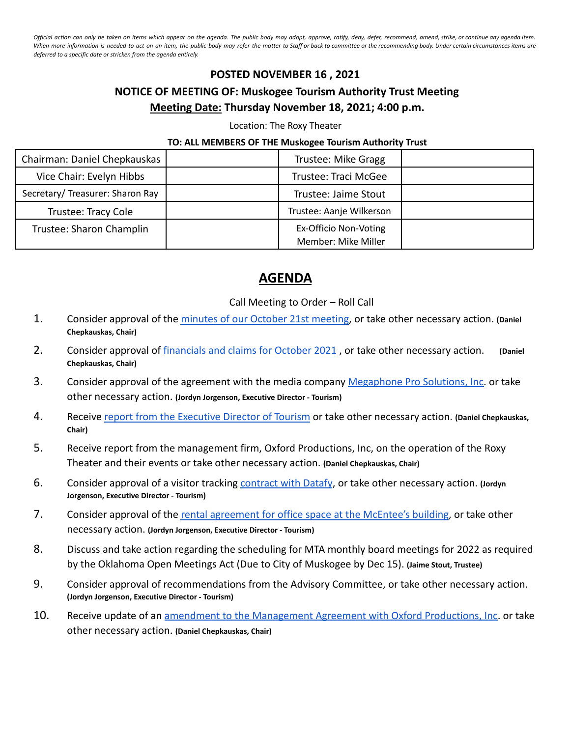Official action can only be taken on items which appear on the agenda. The public body may adopt, approve, ratify, deny, defer, recommend, amend, strike, or continue any agenda item. When more information is needed to act on an item, the public body may refer the matter to Staff or back to committee or the recommending body. Under certain circumstances items are *deferred to a specific date or stricken from the agenda entirely.*

## **POSTED NOVEMBER 16 , 2021 NOTICE OF MEETING OF: Muskogee Tourism Authority Trust Meeting Meeting Date: Thursday November 18, 2021; 4:00 p.m.**

Location: The Roxy Theater

## **TO: ALL MEMBERS OF THE Muskogee Tourism Authority Trust**

| Chairman: Daniel Chepkauskas    | Trustee: Mike Gragg      |  |
|---------------------------------|--------------------------|--|
| Vice Chair: Evelyn Hibbs        | Trustee: Traci McGee     |  |
| Secretary/Treasurer: Sharon Ray | Trustee: Jaime Stout     |  |
| Trustee: Tracy Cole             | Trustee: Aanje Wilkerson |  |
| Trustee: Sharon Champlin        | Ex-Officio Non-Voting    |  |
|                                 | Member: Mike Miller      |  |

## **AGENDA**

## Call Meeting to Order – Roll Call

- 1. Consider approval of the [minutes of our October 21st](https://drive.google.com/drive/folders/1UnAX12P5c47Dbi7839OhEg3GZNGsqFFI?usp=sharing) meeting, or take other necessary action. **(Daniel Chepkauskas, Chair)**
- 2. Consider approval of [financials and claims for October](https://drive.google.com/drive/folders/1BOiVuWCcbfp51zivFHGwljqLtYLKgxQa?usp=sharing) 2021 , or take other necessary action. **(Daniel Chepkauskas, Chair)**
- 3. Consider approval of the agreement with the media company [Megaphone Pro Solutions, Inc.](https://megaphonepro.com/) or take other necessary action. **(Jordyn Jorgenson, Executive Director - Tourism)**
- 4. Receive [report from the Executive Director of Tourism](https://drive.google.com/drive/folders/1ZIHMY6i5Lpqm-h7M-TsJN3AILmM5eJF8?usp=sharing) or take other necessary action. **(Daniel Chepkauskas, Chair)**
- 5. Receive report from the management firm, Oxford Productions, Inc, on the operation of the Roxy Theater and their events or take other necessary action. **(Daniel Chepkauskas, Chair)**
- 6. Consider approval of a visitor tracking [contract with](https://drive.google.com/drive/folders/1YGl1aLnr8z-Jl9VHpNUI5hb7gHnoOOax?usp=sharing) Datafy, or take other necessary action. **(Jordyn Jorgenson, Executive Director - Tourism)**
- 7. Consider approval of the rental agreement for office [space at the McEntee's building](https://drive.google.com/drive/folders/16HFCt-b8okcHXYLmlJ_U7-PTcOGwL79a?usp=sharing), or take other necessary action. **(Jordyn Jorgenson, Executive Director - Tourism)**
- 8. Discuss and take action regarding the scheduling for MTA monthly board meetings for 2022 as required by the Oklahoma Open Meetings Act (Due to City of Muskogee by Dec 15). **(Jaime Stout, Trustee)**
- 9. Consider approval of recommendations from the Advisory Committee, or take other necessary action. **(Jordyn Jorgenson, Executive Director - Tourism)**
- 10. Receive update of an [amendment to the Management Agreement](https://drive.google.com/drive/folders/17BcCeso6ceqQWsJhotjA4hhShtzR0ogQ?usp=sharing) with Oxford Productions, Inc. or take other necessary action. **(Daniel Chepkauskas, Chair)**